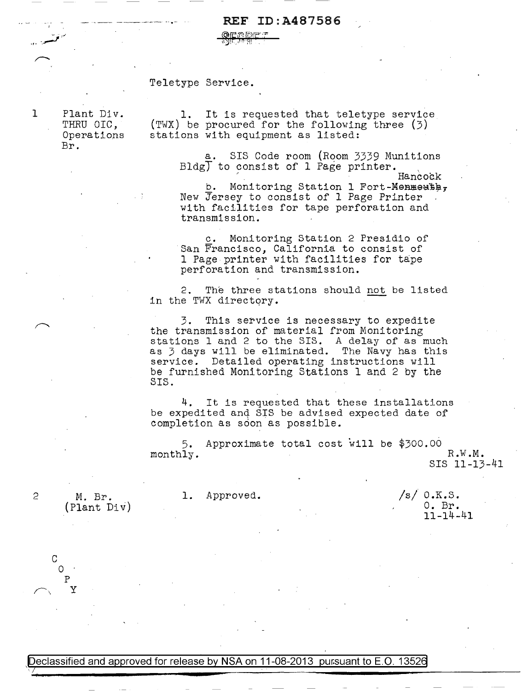## REF ID:A487586

QEADET بالإستشاري

## Teletype Service.

Plant Div. THRU OIC, Operations Br.

,, - \_\_ \_,,..;;.., */* 

1

1. It is requested that teletype service (TWX) be procured for the following three (3) stations with equipment as listed:

> a. SIS Code room (Room 3339 Munitions Bldg $\overline{J}$  to consist of 1 Page printer.<br>Hancock

b. Monitoring Station 1 Fort-Menmeuth, New Jersey to consist of 1 Page Printer with facilities for tape perforation and transmission.

c. Monitoring Station 2 Presidio of San Francisco, California to consist of <sup>1</sup>Page printer with facilities for tape perforation and transmission.

2. The three stations should not be listed in the TWX directory.

3. This service is necessary to expedite the transmission of material from Monitoring stations 1 and 2 to the SIS. A delay of as much as 3 days will be eliminated. The Navy has this service. Detailed operating instructions will be furnished Monitoring Stations 1 and 2 by the SIS.

4. It is requested that these installations be expedited and SIS be advised expected date of completion as soon as possible.

5. monthly. Approximate total cost will be \$300.00 R.W.M.

SIS 11-13-41

.M. Br. (Plant Div)

2

c

 $\mathcal{O}$ p ~\ y 1. Approved.

 $/s/$  0.K.S. O. Br. 11-14-41

Declassified and approved for release by NSA on 11-08-2013 pursuant to E.O. 13526